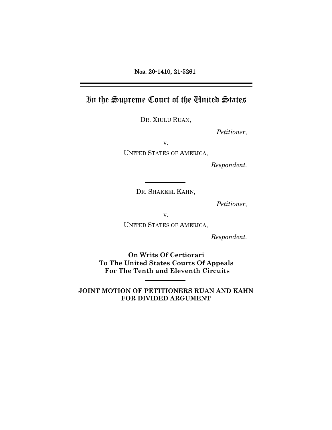Nos. 20-1410, 21-5261

In the Supreme Court of the United States

DR. XIULU RUAN,

*Petitioner*,

v.

UNITED STATES OF AMERICA,

*Respondent.*

DR. SHAKEEL KAHN,

*Petitioner*,

v.

UNITED STATES OF AMERICA,

*Respondent.*

**On Writs Of Certiorari To The United States Courts Of Appeals For The Tenth and Eleventh Circuits**

**JOINT MOTION OF PETITIONERS RUAN AND KAHN FOR DIVIDED ARGUMENT**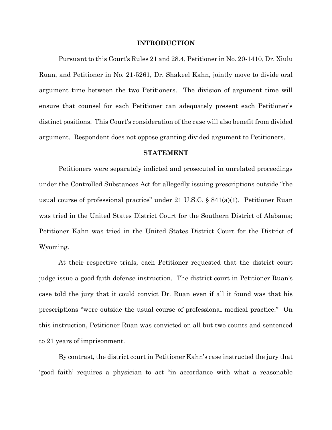## **INTRODUCTION**

Pursuant to this Court's Rules 21 and 28.4, Petitioner in No. 20-1410, Dr. Xiulu Ruan, and Petitioner in No. 21-5261, Dr. Shakeel Kahn, jointly move to divide oral argument time between the two Petitioners. The division of argument time will ensure that counsel for each Petitioner can adequately present each Petitioner's distinct positions. This Court's consideration of the case will also benefit from divided argument. Respondent does not oppose granting divided argument to Petitioners.

## **STATEMENT**

Petitioners were separately indicted and prosecuted in unrelated proceedings under the Controlled Substances Act for allegedly issuing prescriptions outside "the usual course of professional practice" under 21 U.S.C. § 841(a)(1). Petitioner Ruan was tried in the United States District Court for the Southern District of Alabama; Petitioner Kahn was tried in the United States District Court for the District of Wyoming.

At their respective trials, each Petitioner requested that the district court judge issue a good faith defense instruction. The district court in Petitioner Ruan's case told the jury that it could convict Dr. Ruan even if all it found was that his prescriptions "were outside the usual course of professional medical practice." On this instruction, Petitioner Ruan was convicted on all but two counts and sentenced to 21 years of imprisonment.

By contrast, the district court in Petitioner Kahn's case instructed the jury that 'good faith' requires a physician to act "in accordance with what a reasonable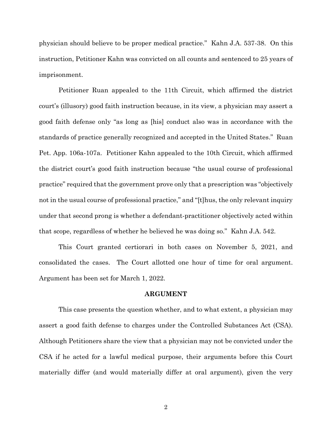physician should believe to be proper medical practice." Kahn J.A. 537-38. On this instruction, Petitioner Kahn was convicted on all counts and sentenced to 25 years of imprisonment.

Petitioner Ruan appealed to the 11th Circuit, which affirmed the district court's (illusory) good faith instruction because, in its view, a physician may assert a good faith defense only "as long as [his] conduct also was in accordance with the standards of practice generally recognized and accepted in the United States." Ruan Pet. App. 106a-107a. Petitioner Kahn appealed to the 10th Circuit, which affirmed the district court's good faith instruction because "the usual course of professional practice" required that the government prove only that a prescription was "objectively not in the usual course of professional practice," and "[t]hus, the only relevant inquiry under that second prong is whether a defendant-practitioner objectively acted within that scope, regardless of whether he believed he was doing so." Kahn J.A. 542.

This Court granted certiorari in both cases on November 5, 2021, and consolidated the cases. The Court allotted one hour of time for oral argument. Argument has been set for March 1, 2022.

## **ARGUMENT**

This case presents the question whether, and to what extent, a physician may assert a good faith defense to charges under the Controlled Substances Act (CSA). Although Petitioners share the view that a physician may not be convicted under the CSA if he acted for a lawful medical purpose, their arguments before this Court materially differ (and would materially differ at oral argument), given the very

2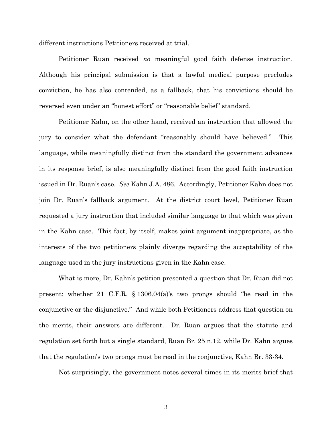different instructions Petitioners received at trial.

Petitioner Ruan received *no* meaningful good faith defense instruction. Although his principal submission is that a lawful medical purpose precludes conviction, he has also contended, as a fallback, that his convictions should be reversed even under an "honest effort" or "reasonable belief" standard.

Petitioner Kahn, on the other hand, received an instruction that allowed the jury to consider what the defendant "reasonably should have believed." This language, while meaningfully distinct from the standard the government advances in its response brief, is also meaningfully distinct from the good faith instruction issued in Dr. Ruan's case. *See* Kahn J.A. 486. Accordingly, Petitioner Kahn does not join Dr. Ruan's fallback argument. At the district court level, Petitioner Ruan requested a jury instruction that included similar language to that which was given in the Kahn case. This fact, by itself, makes joint argument inappropriate, as the interests of the two petitioners plainly diverge regarding the acceptability of the language used in the jury instructions given in the Kahn case.

What is more, Dr. Kahn's petition presented a question that Dr. Ruan did not present: whether 21 C.F.R. § 1306.04(a)'s two prongs should "be read in the conjunctive or the disjunctive." And while both Petitioners address that question on the merits, their answers are different. Dr. Ruan argues that the statute and regulation set forth but a single standard, Ruan Br. 25 n.12, while Dr. Kahn argues that the regulation's two prongs must be read in the conjunctive, Kahn Br. 33-34.

Not surprisingly, the government notes several times in its merits brief that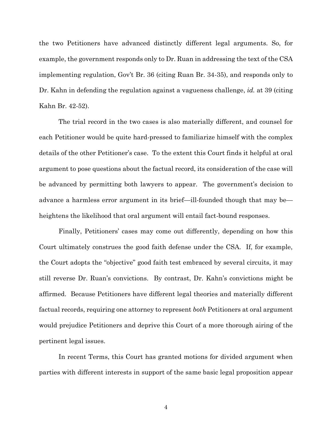the two Petitioners have advanced distinctly different legal arguments. So, for example, the government responds only to Dr. Ruan in addressing the text of the CSA implementing regulation, Gov't Br. 36 (citing Ruan Br. 34-35), and responds only to Dr. Kahn in defending the regulation against a vagueness challenge, *id.* at 39 (citing Kahn Br. 42-52).

The trial record in the two cases is also materially different, and counsel for each Petitioner would be quite hard-pressed to familiarize himself with the complex details of the other Petitioner's case. To the extent this Court finds it helpful at oral argument to pose questions about the factual record, its consideration of the case will be advanced by permitting both lawyers to appear. The government's decision to advance a harmless error argument in its brief—ill-founded though that may be heightens the likelihood that oral argument will entail fact-bound responses.

Finally, Petitioners' cases may come out differently, depending on how this Court ultimately construes the good faith defense under the CSA. If, for example, the Court adopts the "objective" good faith test embraced by several circuits, it may still reverse Dr. Ruan's convictions. By contrast, Dr. Kahn's convictions might be affirmed. Because Petitioners have different legal theories and materially different factual records, requiring one attorney to represent *both* Petitioners at oral argument would prejudice Petitioners and deprive this Court of a more thorough airing of the pertinent legal issues.

In recent Terms, this Court has granted motions for divided argument when parties with different interests in support of the same basic legal proposition appear